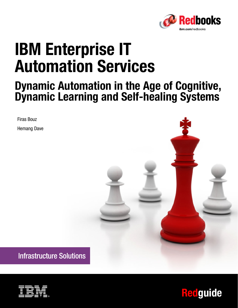

# **IBM Enterprise IT Automation Services**

# **Dynamic Automation in the Age of Cognitive, Dynamic Learning and Self-healing Systems**

Firas Bouz Hemang Dave



**Infrastructure Solutions** 



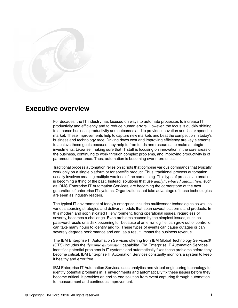

# **Executive overview**

For decades, the IT industry has focused on ways to automate processes to increase IT productivity and efficiency and to reduce human errors. However, the focus is quickly shifting to enhance business productivity and outcomes and to provide innovation and faster speed to market. These improvements help to capture new markets and beat the competition in today's business and technology race. Driving down cost and improving efficiency are key elements to achieve these goals because they help to free funds and resources to make strategic investments. Likewise, making sure that IT staff is focusing on innovation in the core areas of the business, continuing to work through complex problems, and improving productivity is of paramount importance. Thus, automation is becoming ever more critical.

Traditional process automation relies on scripts that combine various commands that typically work only on a single platform or for specific product. Thus, traditional process automation usually involves creating multiple versions of the same thing. This type of process automation is becoming a thing of the past. Instead, solutions that use *analytics-based automation*, such as IBM® Enterprise IT Automation Services, are becoming the cornerstone of the next generation of enterprise IT systems. Organizations that take advantage of these technologies are seen as industry leaders.

The typical IT environment of today's enterprise includes multivendor technologies as well as various sourcing strategies and delivery models that span several platforms and products. In this modern and sophisticated IT environment, fixing operational issues, regardless of severity, becomes a challenge. Even problems caused by the simplest issues, such as password resets or a disk becoming full because of an error log file, can grow out of control or can take many hours to identify and fix. These types of events can cause outages or can severely degrade performance and can, as a result, impact the business revenue.

The IBM Enterprise IT Automation Services offering from IBM Global Technology Services® (GTS) includes the *dynamic automation* capability. IBM Enterprise IT Automation Services identifies potential problems in IT systems and automatically fixes these problems before they become critical. IBM Enterprise IT Automation Services constantly monitors a system to keep it healthy and error free.

IBM Enterprise IT Automation Services uses analytics and virtual engineering technology to identify potential problems in IT environments and automatically fix these issues before they become critical. It provides an end-to-end solution from event capturing through automation to measurement and continuous improvement.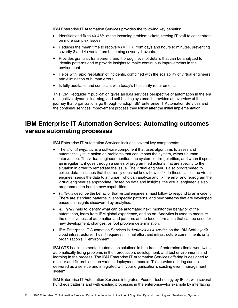IBM Enterprise IT Automation Services provides the following key benefits:

- ► Identifies and fixes 40-45% of the incoming problem tickets, freeing IT staff to concentrate on more complex issues.
- ► Reduces the mean time to recovery (MTTR) from days and hours to minutes, preventing severity 3 and 4 events from becoming severity 1 events.
- Provides granular, transparent, and thorough level of details that can be analyzed to identify patterns and to provide insights to make continuous improvements in the environment.
- Helps with rapid resolution of incidents, combined with the scalability of virtual engineers and elimination of human errors.
- Is fully auditable and compliant with today's IT security requirements.

This IBM Redguide™ publication gives an IBM services perspective of automation in the era of cognitive, dynamic learning, and self-healing systems. It provides an overview of the journey that organizations go through to adopt IBM Enterprise IT Automation Services and the continual services improvement process they follow after the initial implementation.

## **IBM Enterprise IT Automation Services: Automating outcomes versus automating processes**

IBM Enterprise IT Automation Services includes several key components:

- The *virtual engineer* is a software component that uses algorithms to asses and automatically take action on problems that can impact the system, without human intervention. The virtual engineer monitors the system for irregularities, and when it spots an irregularity, it goes through a series of programmed actions that are specific to the situation in order to remediate the issue. The virtual engineer is also programmed to collect data on issues that it currently does not know how to fix. In these cases, the virtual engineer sends the data to a human, who can analyze and fix the error and reprogram the virtual engineer as appropriate. Based on data and insights, the virtual engineer is also programmed to handle new capabilities.
- ► *Patterns* describe the behavior that virtual engineers must follow to respond to an incident. There are standard patterns, client-specific patterns, and new patterns that are developed based on insights discovered by analytics.
- ► *Analytics* help to identify what can be automated next, monitor the behavior of the automation, learn from IBM global experience, and so on. Analytics is used to measure the effectiveness of automation and patterns and to feed information that can be used for new development, changes, or root problem determination.
- ► IBM Enterprise IT Automation Services is *deployed as a service* on the IBM SoftLayer® cloud infrastructure. Thus, it requires minimal effort and infrastructure commitments on an organization's IT environment.

IBM GTS has implemented automation solutions in hundreds of enterprise clients worldwide, automatically fixing problems in their production, development, and test environments and learning in the process. The IBM Enterprise IT Automation Services offering is designed to monitor and fix problems on various deployment models. This service offering can be delivered as a service and integrated with your organization's existing event management system.

IBM Enterprise IT Automation Services integrates IPcenter technology by IPsoft with several hundreds patterns and with existing processes in the enterprise—for example by interfacing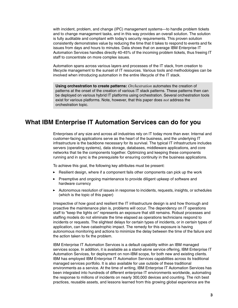with incident, problem, and change (IPC) management systems—to handle problem tickets and to change management tasks, and in this way provides an overall solution. The solution is fully auditable and compliant with today's security requirements. This proven solution consistently demonstrates value by reducing the time that it takes to respond to events and fix issues from days and hours to minutes. Data shows that on average IBM Enterprise IT Automation Services handles directly 40-45% of the incoming problem tickets, thus freeing IT staff to concentrate on more complex issues.

Automation spans across various layers and processes of the IT stack, from creation to lifecycle management to the sunset of IT resources. Various tools and methodologies can be involved when introducing automation in the entire lifecycle of the IT stack.

**Using orchestration to create patterns:** *Orchestration* automates the creation of patterns at the onset of the creation of various IT stack patterns. These patterns then can be deployed on various hybrid IT platforms using orchestration. Several orchestration tools exist for various platforms. Note, however, that this paper does *not* address the orchestration topic.

# **What IBM Enterprise IT Automation Services can do for you**

Enterprises of any size and across all industries rely on IT today more than ever. Internal and customer-facing applications serve as the heart of the business, and the underlying IT infrastructure is the backbone necessary for its survival. The typical IT infrastructure includes servers (operating systems), data storage, databases, middleware applications, and core networks that tie the components together. Optimizing and keeping these components running and in sync is the prerequisite for ensuring continuity in the business applications.

To achieve this goal, the following key attributes must be present:

- ► Resilient design, where if a component fails other components can pick up the work
- Preemptive and ongoing maintenance to provide diligent upkeep of software and hardware currency
- Autonomous resolution of issues in response to incidents, requests, insights, or schedules (which is the topic of this paper)

Irrespective of how good and resilient the IT infrastructure design is and how thorough and proactive the maintenance plan is, problems will occur. The dependency on IT operations staff to "keep the lights on" represents an exposure that still remains. Robust processes and staffing models do not eliminate the time elapsed as operations technicians respond to incidents or requests. The slightest delays for certain types of incidents, or in certain types of application, can have catastrophic impact. The remedy for this exposure is having autonomous monitoring and actions to minimize the delay between the time of the failure and the action taken to fix the problem.

IBM Enterprise IT Automation Services is a default capability within an IBM managed services scope. In addition, it is available as a stand-alone service offering, IBM Enterprise IT Automation Services, for deployment on non-IBM scope, for both new and existing clients. IBM has employed IBM Enterprise IT Automation Services capabilities across its traditional managed services portfolio. It is also available for use outside of these traditional environments as a service. At the time of writing, IBM Enterprise IT Automation Services has been integrated into hundreds of different enterprise IT environments worldwide, automating the response to millions of incidents on nearly 300,000 devices and counting. The rich best practices, reusable assets, and lessons learned from this growing global experience are the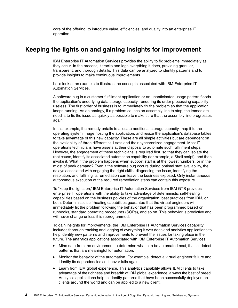core of the offering, to introduce value, efficiencies, and quality into an enterprise IT operation.

#### <span id="page-5-0"></span>**Keeping the lights on and gaining insights for improvement**

IBM Enterprise IT Automation Services provides the ability to fix problems immediately as they occur. In the process, it tracks and logs everything it does, providing granular, transparent, and thorough details. This data can be analyzed to identify patterns and to provide insights to make continuous improvements.

Let's look at an example to illustrate the concepts associated with IBM Enterprise IT Automation Services.

A software bug in a customer fulfillment application or an unanticipated usage pattern floods the application's underlying data storage capacity, rendering its order processing capability useless. The first order of business is to immediately fix the problem so that the application keeps running. As an analogy, if a problem causes an assembly line to stop, the immediate need is to fix the issue as quickly as possible to make sure that the assembly line progresses again.

In this example, the remedy entails to allocate additional storage capacity, map it to the operating system image hosting the application, and resize the application's database tables to take advantage of this new capacity. These are all simple activities but are dependent on the availability of three different skill sets and their synchronized engagement. Most IT operations technicians have assets at their disposal to automate such fulfillment steps. However, the engagement of these technicians is required first, so that they can isolate the root cause, identify its associated automation capability (for example, a Shell script), and then invoke it. What if the problem happens when support staff is at the lowest numbers, or in the midst of peak demand? Even if the software bug occurs during optimal staff availability, the delays associated with engaging the right skills, diagnosing the issue, identifying the resolution, and fulfilling its remediation can leave the business exposed. Only instantaneous autonomous execution of the required remediation steps can contain this exposure.

To "keep the lights on," IBM Enterprise IT Automation Services from IBM GTS provides enterprise IT operations with the ability to take advantage of deterministic self-healing capabilities based on the business policies of the organization, best practices from IBM, or both. Deterministic self-healing capabilities guarantee that the virtual engineers will immediately fix the problem following the behavior that has been programmed based on runbooks, standard operating procedures (SOPs), and so on. This behavior is predictive and will never change unless it is reprogrammed.

To gain insights for improvements, the IBM Enterprise IT Automation Services capability includes thorough tracking and logging of everything it ever does and analytics applications to help identify new patterns and improvements to prevent the issues for taking place in the future. The analytics applications associated with IBM Enterprise IT Automation Services:

- - Mine data from the environment to determine what can be automated next, that is, detect patterns that are meaningful for automation.
- Monitor the behavior of the automation. For example, detect a virtual engineer failure and identify its dependencies so it never fails again.
- ► Learn from IBM global experience. This analytics capability allows IBM clients to take advantage of the richness and breadth of IBM global experience, always the best of breed. Analytics applications help to identify patterns that have been successfully deployed on clients around the world and can be applied to a new client.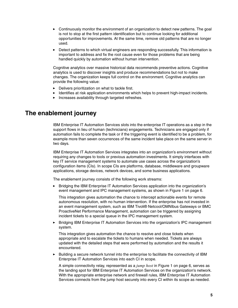- Continuously monitor the environment of an organization to detect new patterns. The goal is not to stop at the first pattern identification but to continue looking for additional opportunities for improvements. At the same time, remove old patterns that are no longer used.
- ► Detect patterns to which virtual engineers are responding successfully. This information is important to address and fix the root cause even for those problems that are being handled quickly by automation without human intervention.

Cognitive analytics over massive historical data recommends preventive actions. Cognitive analytics is used to discover insights and produce recommendations but not to make changes. The organization keeps full control on the environment. Cognitive analytics can provide the following value:

- **Delivers prioritization on what to tackle first.**
- Identifies at risk application environments which helps to prevent high-impact incidents.
- Increases availability through targeted refreshes.

#### **The enablement journey**

IBM Enterprise IT Automation Services slots into the enterprise IT operations as a step in the support flows in lieu of human (technicians) engagements. Technicians are engaged only if automation fails to complete the task or if the triggering event is identified to be a problem, for example more than seven occurrences of the same incident take place on the same server in two days.

IBM Enterprise IT Automation Services integrates into an organization's environment without requiring any changes to tools or previous automation investments. It simply interfaces with key IT service management systems to automate use cases across the organization's configuration items (CIs). In scope CIs are platforms, database, middleware and groupware applications, storage devices, network devices, and some business applications.

The enablement journey consists of the following work streams:

► Bridging the IBM Enterprise IT Automation Services application into the organization's event management and IPC management systems, as shown in [Figure 1 on page 6](#page-7-0).

This integration gives automation the chance to intercept actionable events for remote autonomous resolution, with no human intervention. If the enterprise has not invested in an event management system, such as IBM Tivoli® Netcool/OMNIbus Gateways or BMC ProactiveNet Performance Management, automation can be triggered by assigning incident tickets to a special queue in the IPC management system.

- Bridging IBM Enterprise IT Automation Services into the organization's IPC management system.

This integration gives automation the chance to resolve and close tickets when appropriate and to escalate the tickets to humans when needed. Tickets are always updated with the detailed steps that were performed by automation and the results it encountered.

- Building a secure network tunnel into the enterprise to facilitate the connectivity of IBM Enterprise IT Automation Services into each CI in scope.

A simple connectivity relay, represented as a *jump host* in [Figure 1 on page 6](#page-7-0), serves as the landing spot for IBM Enterprise IT Automation Services on the organization's network. With the appropriate enterprise network and firewall rules, IBM Enterprise IT Automation Services connects from the jump host securely into every CI within its scope as needed.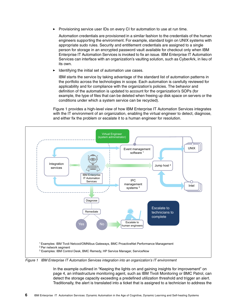-Provisioning service user IDs on every CI for automation to use at run time.

Automation credentials are provisioned in a similar fashion to the credentials of the human engineers supporting the environment. For example, standard login on UNIX systems with appropriate sudo rules. Security and entitlement credentials are assigned to a single person for storage in an encrypted password vault available for checkout only when IBM Enterprise IT Automation Services is invoked to fix an issue. IBM Enterprise IT Automation Services can interface with an organization's vaulting solution, such as CyberArk, in lieu of its own.

-Identifying the initial set of automation use cases.

IBM starts the service by taking advantage of the standard list of automation patterns in the portfolio across the technologies in scope. Each automation is carefully reviewed for applicability and for compliance with the organization's policies. The behavior and definition of the automation is updated to account for the organization's SOPs (for example, the type of files that can be deleted when freeing up disk space on servers or the conditions under which a system service can be recycled).

[Figure 1](#page-7-0) provides a high-level view of how IBM Enterprise IT Automation Services integrates with the IT environment of an organization, enabling the virtual engineer to detect, diagnose, and either fix the problem or escalate it to a human engineer for resolution.



<span id="page-7-0"></span>Figure 1 IBM Enterprise IT Automation Services integration into an organization's IT environment

In the example outlined in ["Keeping the lights on and gaining insights for improvement" on](#page-5-0)  [page 4](#page-5-0), an infrastructure monitoring agent, such as IBM Tivoli Monitoring or BMC Patrol, can detect the storage capacity exceeding a predefined utilization threshold and trigger an alert. Traditionally, the alert is translated into a ticket that is assigned to a technician to address the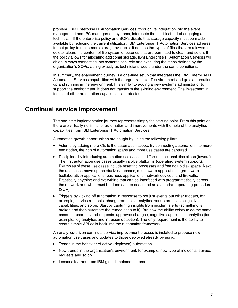problem. IBM Enterprise IT Automation Services, through its integration into the event management and IPC management systems, intercepts the alert instead of engaging a technician. If the enterprise policy and SOPs dictate that storage capacity must be made available by reducing the current utilization, IBM Enterprise IT Automation Services adheres to that policy to make more storage available. It deletes the types of files that are allowed to delete, clears the content of file system directories that are permitted to clear, and so on. If the policy allows for allocating additional storage, IBM Enterprise IT Automation Services will abide. Always connecting into systems securely and executing the steps defined by the organization's SOPs, acting exactly as technicians would under the same conditions.

In summary, the enablement journey is a one-time setup that integrates the IBM Enterprise IT Automation Services capabilities with the organization's IT environment and gets automation up and running in the environment. It is similar to adding a new systems administrator to support the environment. It does not transform the existing environment. The investment in tools and other automation capabilities is protected.

### **Continual service improvement**

The one-time implementation journey represents simply the starting point. From this point on, there are virtually no limits for automation and improvements with the help of the analytics capabilities from IBM Enterprise IT Automation Services.

Automation growth opportunities are sought by using the following pillars:

- ► Volume by adding more CIs to the automation scope. By connecting automation into more end nodes, the rich of automation spans and more use cases are captured.
- Disciplines by introducing automation use cases to different functional disciplines (towers). The first automation use cases usually involve platforms (operating system support). Examples of these use cases include resetting processes and freeing up disk space. Next, the use cases move up the stack: databases, middleware applications, groupware (collaborative) applications, business applications, network devices, and firewalls. Practically anything and everything that can be interfaced with programmatically across the network and what must be done can be described as a standard operating procedure (SOP).
- Triggers by kicking off automation in response to not just events but other triggers, for example, service requests, change requests, analytics, nondeterministic cognitive capabilities, and so on. Start by capturing insights from incident alerts (something is broken and then automate the remediation to it). But now the ability exists to do the same based on user-initiated requests, approved changes, cognitive capabilities, analytics (for example, log analytics and intrusion detection). The only requirement is the ability to create simple API calls back into the automation framework.

An analytics-driven continual service improvement process is instated to propose new automation use cases and updates to those deployed already by using:

- Trends in the behavior of active (deployed) automation.
- New trends in the organization's environment, for example, new type of incidents, service requests and so on.
- Lessons learned from IBM global implementations.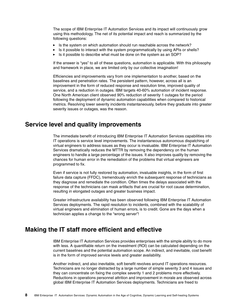The scope of IBM Enterprise IT Automation Services and its impact will continuously grow using this methodology. The net of its potential impact and reach is summarized by the following questions:

- **EXTE:** Is the system on which automation should run reachable across the network?
- -Is it possible to interact with the system programmatically by using APIs or shells?
- -Is it possible to describe what must be done on the system as an SOP?

If the answer is "yes" to all of these questions, automation is applicable. With this philosophy and framework in place, we are limited only by our collective imagination!

Efficiencies and improvements vary from one implementation to another, based on the baselines and penetration rates. The persistent pattern, however, across all is an improvement in the form of reduced response and resolution time, improved quality of service, and a reduction in outages. IBM targets 40-60% automation of incident response. One North American client observed 90% reduction of severity 1 outages for the period following the deployment of dynamic automation capabilities when compared to historical metrics. Resolving lower severity incidents instantaneously, before they graduate into greater severity issues or outages, was the reason.

#### **Service level and quality improvements**

The immediate benefit of introducing IBM Enterprise IT Automation Services capabilities into IT operations is service level improvements. The instantaneous autonomous dispatching of virtual engineers to address issues as they occur is invaluable. IBM Enterprise IT Automation Services dramatically reduces the MTTR by removing the dependency on the human engineers to handle a large percentage of the issues. It also improves quality by removing the chances for human error in the remediation of the problems that virtual engineers are programmed to fix.

Even if service is not fully restored by automation, invaluable insights, in the form of first failure data capture (FFDC), tremendously enrich the subsequent response of technicians as they diagnose and remediate the condition. Often times the delays associated with the response of the technicians can mask artifacts that are crucial for root cause determination, resulting in elongated outages and greater business impact.

Greater infrastructure availability has been observed following IBM Enterprise IT Automation Services deployments. The rapid resolution to incidents, combined with the scalability of virtual engineers and elimination of human errors, is to credit. Gone are the days when a technician applies a change to the "wrong server"!

#### **Making the IT staff more efficient and effective**

IBM Enterprise IT Automation Services provides enterprises with the simple ability to do more with less. A quantifiable return on the investment (ROI) can be calculated depending on the current baselines and the potential automation scope. An indirect, and inevitable, cost benefit is in the form of improved service levels and greater availability.

Another indirect, and also inevitable, soft benefit revolves around IT operations resources. Technicians are no longer distracted by a large number of simple severity 3 and 4 issues and they can concentrate on fixing the complex severity 1 and 2 problems more effectively. Reductions in operations personnel attrition and improvement in morale are observed across global IBM Enterprise IT Automation Services deployments. Technicians are freed to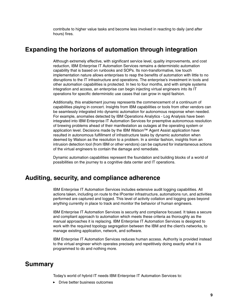contribute to higher value tasks and become less involved in reacting to daily (and after hours) fires.

#### **Expanding the horizons of automation through integration**

Although extremely effective, with significant service level, quality improvements, and cost reduction, IBM Enterprise IT Automation Services remains a deterministic automation capability that is based on runbooks and SOPs. Its non-transformative, low touch implementation nature allows enterprises to reap the benefits of automation with little to no disruptions to the IT infrastructure and operations. The enterprise's investment in tools and other automation capabilities is protected. In two to four months, and with simple systems integration and access, an enterprise can begin injecting virtual engineers into its IT operations for specific deterministic use cases that can grow in rapid fashion.

Additionally, this enablement journey represents the commencement of a continuum of capabilities playing in concert. Insights from IBM capabilities or tools from other vendors can be seamlessly integrated into dynamic automation for autonomous response when needed. For example, anomalies detected by IBM Operations Analytics - Log Analysis have been integrated into IBM Enterprise IT Automation Services for preemptive autonomous resolution of brewing problems ahead of their manifestation as outages at the operating system or application level. Decisions made by the IBM Watson™ Agent Assist application have resulted in autonomous fulfillment of infrastructure tasks by dynamic automation when deemed by Watson as the resolution to a problem. In a similar fashion, insights from an intrusion detection tool (from IBM or other vendors) can be captured for instantaneous actions of the virtual engineers to contain the damage and remediate.

Dynamic automation capabilities represent the foundation and building blocks of a world of possibilities on the journey to a cognitive data center and IT operations.

#### **Auditing, security, and compliance adherence**

IBM Enterprise IT Automation Services includes extensive audit logging capabilities. All actions taken, including on route to the IPcenter infrastructure, automations run, and activities performed are captured and logged. This level of activity collation and logging goes beyond anything currently in place to track and monitor the behavior of human engineers.

IBM Enterprise IT Automation Services is security and compliance focused. It takes a secure and compliant approach to automation which meets these criteria as thoroughly as the manual approaches it is replacing. IBM Enterprise IT Automation Services is designed to work with the required topology segregation between the IBM and the client's networks, to manage existing application, network, and software.

IBM Enterprise IT Automation Services reduces human access. Authority is provided instead to the virtual engineer which operates precisely and repetitively doing exactly what it is programmed to do and nothing more.

### **Summary**

Today's world of hybrid IT needs IBM Enterprise IT Automation Services to:

**Drive better business outcomes**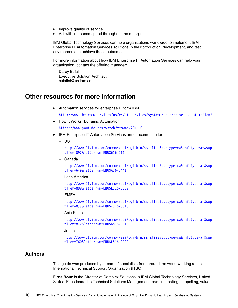- Improve quality of service
- Act with increased speed throughout the enterprise

IBM Global Technology Services can help organizations worldwide to implement IBM Enterprise IT Automation Services solutions in their production, development, and test environments to achieve these outcomes.

For more information about how IBM Enterprise IT Automation Services can help your organization, contact the offering manager:

Darcy Bufalini Executive Solution Architect bufalini@us.ibm.com

#### **Other resources for more information**

- Automation services for enterprise IT form IBM

<http://www.ibm.com/services/us/en/it-services/systems/enterprise-it-automation/>

► How It Works: Dynamic Automation

https://www.youtube.com/watch?v=mw4aV7PMH\_0

- IBM Enterprise IT Automation Services announcement letter
	- US

[http://www-01.ibm.com/common/ssi/cgi-bin/ssialias?subtype=ca&infotype=an&sup](http://www-01.ibm.com/common/ssi/cgi-bin/ssialias?subtype=ca&infotype=an&supplier=897&letternum=ENUS616-011) plier=897&letternum=ENUS616-011

– Canada

[http://www-01.ibm.com/common/ssi/cgi-bin/ssialias?subtype=ca&infotype=an&sup](http://www-01.ibm.com/common/ssi/cgi-bin/ssialias?subtype=ca&infotype=an&supplier=649&letternum=ENUSA16-0441) plier=649&letternum=ENUSA16-0441

– Latin America

[http://www-01.ibm.com/common/ssi/cgi-bin/ssialias?subtype=ca&infotype=an&sup](http://www-01.ibm.com/common/ssi/cgi-bin/ssialias?subtype=ca&infotype=an&supplier=899&letternum=ENUSLS16-0009) plier=899&letternum=ENUSLS16-0009

– EMEA

[http://www-01.ibm.com/common/ssi/cgi-bin/ssialias?subtype=ca&infotype=an&sup](http://www-01.ibm.com/common/ssi/cgi-bin/ssialias?subtype=ca&infotype=an&supplier=877&letternum=ENUSZS16-0015) plier=877&letternum=ENUSZS16-0015

– Asia Pacific

[http://www-01.ibm.com/common/ssi/cgi-bin/ssialias?subtype=ca&infotype=an&sup](http://www-01.ibm.com/common/ssi/cgi-bin/ssialias?subtype=ca&infotype=an&supplier=872&letternum=ENUSAS16-0013) plier=872&letternum=ENUSAS16-0013

– Japan

[http://www-01.ibm.com/common/ssi/cgi-bin/ssialias?subtype=ca&infotype=an&sup](http://www-01.ibm.com/common/ssi/cgi-bin/ssialias?subtype=ca&infotype=an&supplier=760&letternum=ENUSLS16-0009) [plier=760&letternum=ENUSLS16-0009](http://www-01.ibm.com/common/ssi/cgi-bin/ssialias?subtype=ca&infotype=an&supplier=760&letternum=ENUSLS16-0009)

#### **Authors**

This guide was produced by a team of specialists from around the world working at the International Technical Support Organization (ITSO).

**Firas Bouz** is the Director of Complex Solutions in IBM Global Technology Services, United States. Firas leads the Technical Solutions Management team in creating compelling, value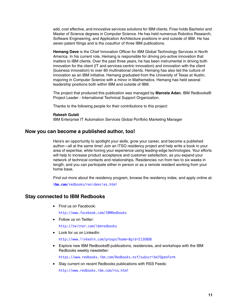add, cost effective, and innovative services solutions for IBM clients. Firas holds Bachelor and Master of Science degrees in Computer Science. He has held numerous Robotics Research, Software Engineering, and Application Architecture positions in and outside of IBM. He has seven patent filings and is the coauthor of three IBM publications.

**Hemang Dave** is the Chief Innovation Officer for IBM Global Technology Services in North America. In his current role, Hemang is responsible for driving pro-active innovation that matters to IBM clients. Over the past three years, he has been instrumental in driving both innovation for the client (IT and services-centric innovation) and innovation with the client (business innovation) to over 80 multinational clients. Hemang has also led the culture of innovation as an IBM initiative. Hemang graduated from the University of Texas at Austin, majoring in Computer Science with a minor in Mathematics. Hemang has held several leadership positions both within IBM and outside of IBM.

The project that produced this publication was managed by **Marcela Adan**, IBM Redbooks® Project Leader - International Technical Support Organization.

Thanks to the following people for their contributions to this project:

#### **Rakesh Gulati**

IBM Enterprise IT Automation Services Global Portfolio Marketing Manager

#### **Now you can become a published author, too!**

Here's an opportunity to spotlight your skills, grow your career, and become a published author—all at the same time! Join an ITSO residency project and help write a book in your area of expertise, while honing your experience using leading-edge technologies. Your efforts will help to increase product acceptance and customer satisfaction, as you expand your network of technical contacts and relationships. Residencies run from two to six weeks in length, and you can participate either in person or as a remote resident working from your home base.

Find out more about the residency program, browse the residency index, and apply online at:

**[ibm.com](http://www.redbooks.ibm.com/residencies.html)**[/redbooks/residencies.html](http://www.redbooks.ibm.com/residencies.html)

#### **Stay connected to IBM Redbooks**

► Find us on Facebook:

<http://www.facebook.com/IBMRedbooks>

**Follow us on Twitter:** 

<http://twitter.com/ibmredbooks>

► Look for us on LinkedIn:

<http://www.linkedin.com/groups?home=&gid=2130806>

► Explore new IBM Redbooks® publications, residencies, and workshops with the IBM Redbooks weekly newsletter:

<https://www.redbooks.ibm.com/Redbooks.nsf/subscribe?OpenForm>

► Stay current on recent Redbooks publications with RSS Feeds:

<http://www.redbooks.ibm.com/rss.html>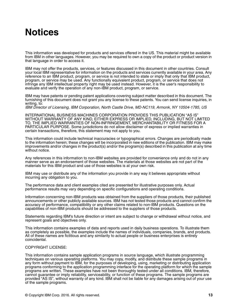# **Notices**

This information was developed for products and services offered in the US. This material might be available from IBM in other languages. However, you may be required to own a copy of the product or product version in that language in order to access it.

IBM may not offer the products, services, or features discussed in this document in other countries. Consult your local IBM representative for information on the products and services currently available in your area. Any reference to an IBM product, program, or service is not intended to state or imply that only that IBM product, program, or service may be used. Any functionally equivalent product, program, or service that does not infringe any IBM intellectual property right may be used instead. However, it is the user's responsibility to evaluate and verify the operation of any non-IBM product, program, or service.

IBM may have patents or pending patent applications covering subject matter described in this document. The furnishing of this document does not grant you any license to these patents. You can send license inquiries, in writing, to:

IBM Director of Licensing, IBM Corporation, North Castle Drive, MD-NC119, Armonk, NY 10504-1785, US

INTERNATIONAL BUSINESS MACHINES CORPORATION PROVIDES THIS PUBLICATION "AS IS" WITHOUT WARRANTY OF ANY KIND, EITHER EXPRESS OR IMPLIED, INCLUDING, BUT NOT LIMITED TO, THE IMPLIED WARRANTIES OF NON-INFRINGEMENT, MERCHANTABILITY OR FITNESS FOR A PARTICULAR PURPOSE. Some jurisdictions do not allow disclaimer of express or implied warranties in certain transactions, therefore, this statement may not apply to you.

This information could include technical inaccuracies or typographical errors. Changes are periodically made to the information herein; these changes will be incorporated in new editions of the publication. IBM may make improvements and/or changes in the product(s) and/or the program(s) described in this publication at any time without notice.

Any references in this information to non-IBM websites are provided for convenience only and do not in any manner serve as an endorsement of those websites. The materials at those websites are not part of the materials for this IBM product and use of those websites is at your own risk.

IBM may use or distribute any of the information you provide in any way it believes appropriate without incurring any obligation to you.

The performance data and client examples cited are presented for illustrative purposes only. Actual performance results may vary depending on specific configurations and operating conditions.

Information concerning non-IBM products was obtained from the suppliers of those products, their published announcements or other publicly available sources. IBM has not tested those products and cannot confirm the accuracy of performance, compatibility or any other claims related to non-IBM products. Questions on the capabilities of non-IBM products should be addressed to the suppliers of those products.

Statements regarding IBM's future direction or intent are subject to change or withdrawal without notice, and represent goals and objectives only.

This information contains examples of data and reports used in daily business operations. To illustrate them as completely as possible, the examples include the names of individuals, companies, brands, and products. All of these names are fictitious and any similarity to actual people or business enterprises is entirely coincidental.

#### COPYRIGHT LICENSE:

This information contains sample application programs in source language, which illustrate programming techniques on various operating platforms. You may copy, modify, and distribute these sample programs in any form without payment to IBM, for the purposes of developing, using, marketing or distributing application programs conforming to the application programming interface for the operating platform for which the sample programs are written. These examples have not been thoroughly tested under all conditions. IBM, therefore, cannot guarantee or imply reliability, serviceability, or function of these programs. The sample programs are provided "AS IS", without warranty of any kind. IBM shall not be liable for any damages arising out of your use of the sample programs.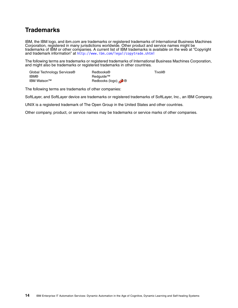# **Trademarks**

IBM, the IBM logo, and ibm.com are trademarks or registered trademarks of International Business Machines Corporation, registered in many jurisdictions worldwide. Other product and service names might be trademarks of IBM or other companies. A current list of IBM trademarks is available on the web at "Copyright and trademark information" at <http://www.ibm.com/legal/copytrade.shtml>

The following terms are trademarks or registered trademarks of International Business Machines Corporation, and might also be trademarks or registered trademarks in other countries.

| Global Technology Services <sup>®</sup> | Redbooks®       | Tivoli® |
|-----------------------------------------|-----------------|---------|
| <b>IBM®</b>                             | Redauide™       |         |
| IBM Watson™                             | Redbooks (logo) |         |

The following terms are trademarks of other companies:

SoftLayer, and SoftLayer device are trademarks or registered trademarks of SoftLayer, Inc., an IBM Company.

UNIX is a registered trademark of The Open Group in the United States and other countries.

Other company, product, or service names may be trademarks or service marks of other companies.